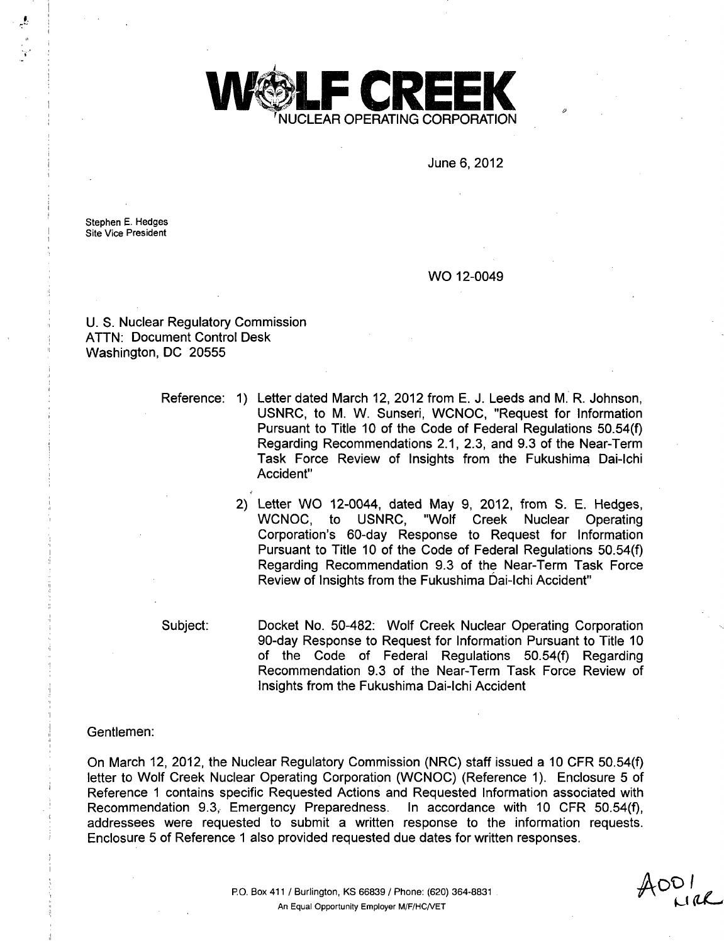

June 6, 2012

Stephen E. Hedges Site Vice President

WO 12-0049

U. S. Nuclear Regulatory Commission ATTN: Document Control Desk Washington, DC 20555

Reference: 1) Letter dated March 12, 2012 from E. J. Leeds and M. R. Johnson, USNRC, to M. W. Sunseri, WCNOC, "Request for Information Pursuant to Title 10 of the Code of Federal Regulations 50.54(f) Regarding Recommendations 2.1, 2.3, and 9.3 of the Near-Term Task Force Review of Insights from the Fukushima Dai-lchi Accident"

> 2) Letter WO 12-0044, dated May 9, 2012, from S. E. Hedges, WCNOC, to USNRC, "Wolf Creek Nuclear Operating Corporation's 60-day Response to Request for Information Pursuant to Title 10 of the Code of Federal Regulations 50.54(f) Regarding Recommendation 9.3 of the Near-Term Task Force Review of Insights from the Fukushima Dai-Ichi Accident"

Subject:

Docket No. 50-482: Wolf Creek Nuclear Operating Corporation 90-day Response to Request for Information Pursuant to Title 10 of the Code of Federal Regulations 50.54(f) Regarding Recommendation 9.3 of the Near-Term Task Force Review of Insights from the Fukushima Dai-lchi Accident

#### Gentlemen:

On March 12, 2012, the Nuclear Regulatory Commission (NRC) staff issued a 10 CFR 50.54(f) letter to Wolf Creek Nuclear Operating Corporation (WCNOC) (Reference 1). Enclosure 5 of Reference 1 contains specific Requested Actions and Requested Information associated with Recommendation 9.3, Emergency Preparedness. In accordance with 10 CFR 50.54(f), addressees were requested to submit a written response to the information requests. Enclosure 5 of Reference 1 also provided requested due dates for written responses.

**JAOOvI** *oak-,d*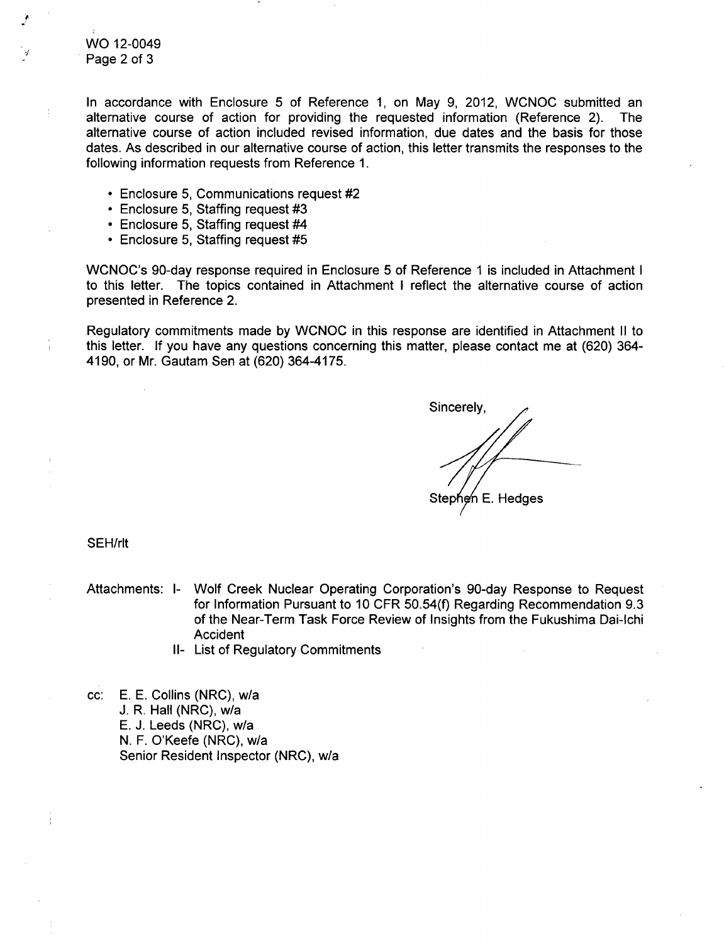WO 12-0049 Page 2 of 3

In accordance with Enclosure 5 of Reference 1, on May 9, 2012, WCNOC submitted an alternative course of action for providing the requested information (Reference 2). The alternative course of action included revised information, due dates and the basis for those dates. As described in our alternative course of action, this letter transmits the responses to the following information requests from Reference 1.

- **"** Enclosure 5, Communications request #2
- **"** Enclosure 5, Staffing request #3
- **"** Enclosure 5, Staffing request #4
- \* Enclosure 5, Staffing request #5

WCNOC's 90-day response required in Enclosure 5 of Reference **1** is included in Attachment I to this letter. The topics contained in Attachment I reflect the alternative course of action presented in Reference 2.

Regulatory commitments made by WCNOC in this response are identified in Attachment II to this letter. If you have any questions concerning this matter, please contact me at (620) 364- 4190, or Mr. Gautam Sen at (620) 364-4175.

Sincerely, Stephen E. Hedges

SEH/rlt

- Attachments: I- Wolf Creek Nuclear Operating Corporation's 90-day Response to Request for Information Pursuant to 10 CFR 50.54(f) Regarding Recommendation 9.3 of the Near-Term Task Force Review of Insights from the Fukushima Dai-lchi Accident
	- II- List of Regulatory Commitments

cc: E. E. Collins (NRC), w/a J. R. Hall (NRC), w/a E. J. Leeds (NRC), w/a N. F. O'Keefe (NRC), w/a Senior Resident Inspector (NRC), w/a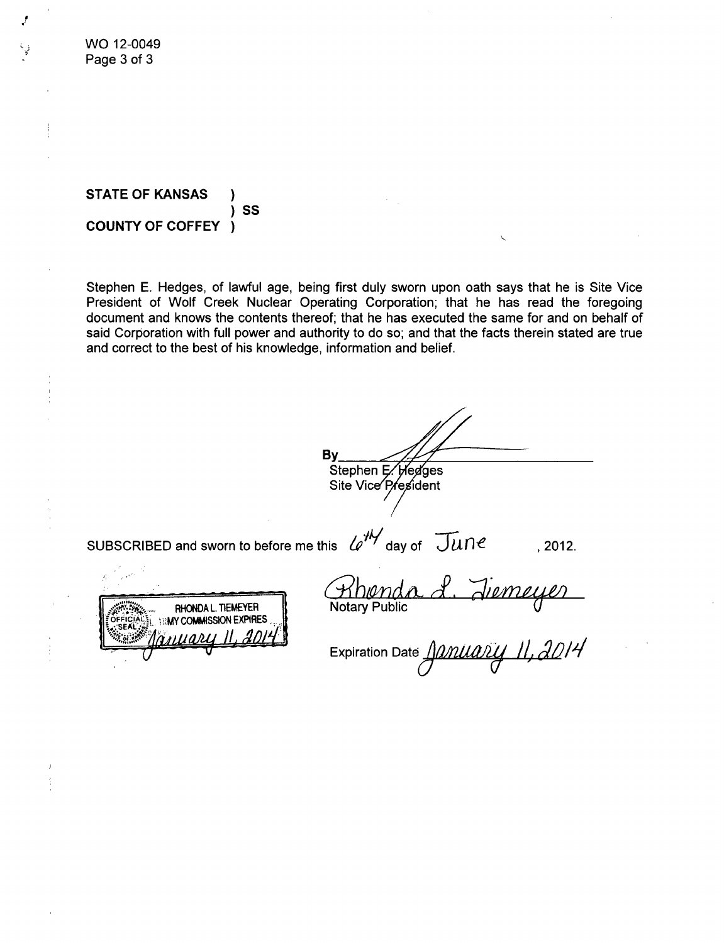WO 12-0049 Page 3 of 3

### **STATE** OF **KANSAS** *)* **SS COUNTY** OF COFFEY *)*

Stephen E. Hedges, of lawful age, being first duly sworn upon oath says that he is Site Vice President of Wolf Creek Nuclear Operating Corporation; that he has read the foregoing document and knows the contents thereof; that he has executed the same for and on behalf of said Corporation with full power and authority to do so; and that the facts therein stated are true and correct to the best of his knowledge, information and belief.

By Stephen E. Hedges Site Vice President

SUBSCRIBED and sworn to before me this  $\ell e^{i\theta}$  day of  $\widetilde{J\mu}$   $\theta$  , 2012.

RHONDA L. TIEMEYER *I BMY COMMISSION EXPIRES*  $00II$ 

2. Jiemeye Khieno Notary Public

Expiration Date  $\angle$ Manuary II, 2014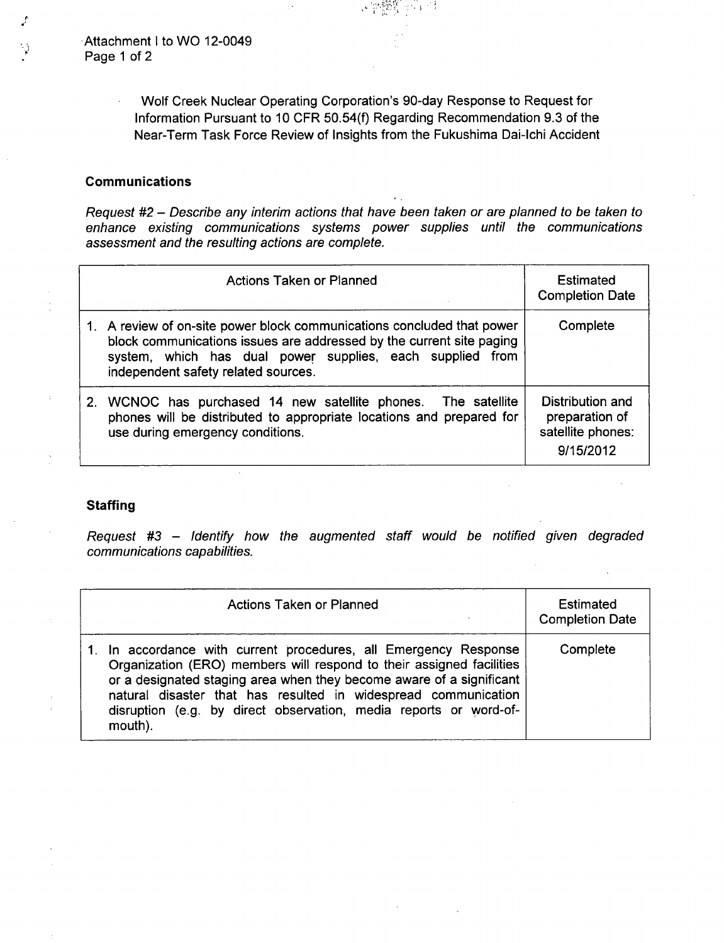-Attachment I to WO 12-0049 Page 1 of 2

> Wolf Creek Nuclear Operating Corporation's 90-day Response to Request for Information Pursuant to 10 CFR 50.54(f) Regarding Recommendation 9.3 of the Near-Term Task Force Review of Insights from the Fukushima Dai-lchi Accident

#### Communications

 $\bar{z}$ 

*Request #2* - *Describe any interim actions that have been taken or are planned to be taken to enhance existing communications systems power supplies until the communications assessment and the resulting actions are complete.*

| <b>Actions Taken or Planned</b>                                                                                                                                                                                                                    | <b>Estimated</b><br><b>Completion Date</b>                           |
|----------------------------------------------------------------------------------------------------------------------------------------------------------------------------------------------------------------------------------------------------|----------------------------------------------------------------------|
| 1. A review of on-site power block communications concluded that power<br>block communications issues are addressed by the current site paging<br>system, which has dual power supplies, each supplied from<br>independent safety related sources. | Complete                                                             |
| 2. WCNOC has purchased 14 new satellite phones. The satellite<br>phones will be distributed to appropriate locations and prepared for<br>use during emergency conditions.                                                                          | Distribution and<br>preparation of<br>satellite phones:<br>9/15/2012 |

### **Staffing**

*Request #3* - *Identify how the augmented staff would be notified given degraded communications capabilities.*

| <b>Actions Taken or Planned</b>                                                                                                                                                                                                                                                                                                                                    | Estimated<br><b>Completion Date</b> |
|--------------------------------------------------------------------------------------------------------------------------------------------------------------------------------------------------------------------------------------------------------------------------------------------------------------------------------------------------------------------|-------------------------------------|
| 1. In accordance with current procedures, all Emergency Response<br>Organization (ERO) members will respond to their assigned facilities<br>or a designated staging area when they become aware of a significant<br>natural disaster that has resulted in widespread communication<br>disruption (e.g. by direct observation, media reports or word-of-<br>mouth). | Complete                            |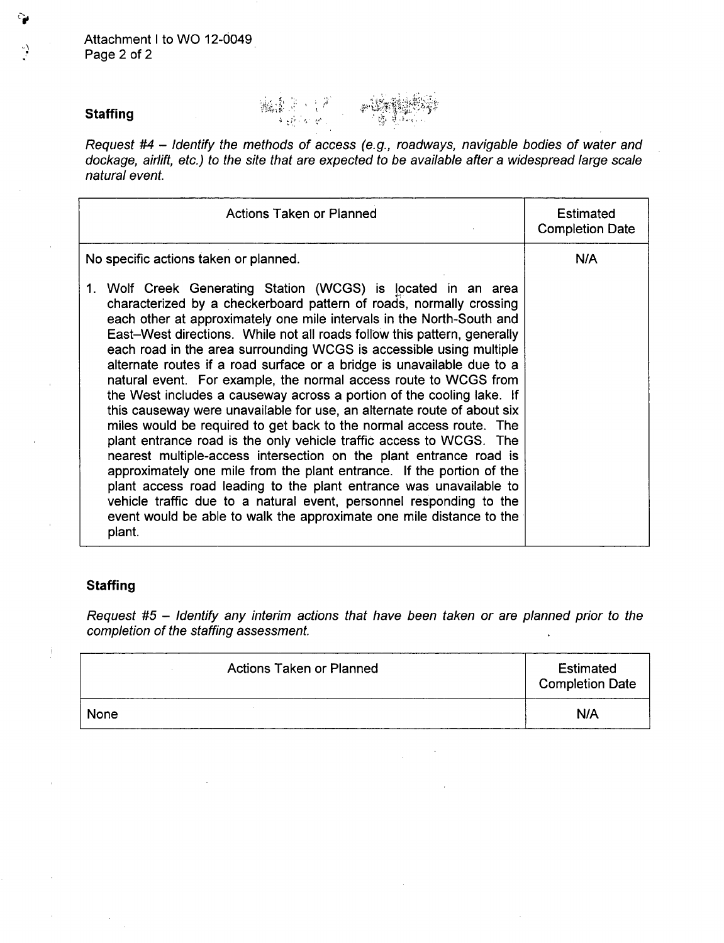### **Staffing**

್ಕ

*Request #4* - *Identify the methods of access (e.g., roadways, navigable bodies of water and dockage, airlift, etc.) to the site that are expected to be available after a widespread large scale natural event.*

编集团 计产 هيا - په آ

3,,

| <b>Actions Taken or Planned</b>                                                                                                                                                                                                                                                                                                                                                                                                                                                                                                                                                                                                                                                                                                                                                                                                                                                                                                                                                                                                                                                                                                                                                                | <b>Estimated</b><br><b>Completion Date</b> |
|------------------------------------------------------------------------------------------------------------------------------------------------------------------------------------------------------------------------------------------------------------------------------------------------------------------------------------------------------------------------------------------------------------------------------------------------------------------------------------------------------------------------------------------------------------------------------------------------------------------------------------------------------------------------------------------------------------------------------------------------------------------------------------------------------------------------------------------------------------------------------------------------------------------------------------------------------------------------------------------------------------------------------------------------------------------------------------------------------------------------------------------------------------------------------------------------|--------------------------------------------|
| No specific actions taken or planned.                                                                                                                                                                                                                                                                                                                                                                                                                                                                                                                                                                                                                                                                                                                                                                                                                                                                                                                                                                                                                                                                                                                                                          | N/A                                        |
| 1. Wolf Creek Generating Station (WCGS) is located in an area<br>characterized by a checkerboard pattern of roads, normally crossing<br>each other at approximately one mile intervals in the North-South and<br>East-West directions. While not all roads follow this pattern, generally<br>each road in the area surrounding WCGS is accessible using multiple<br>alternate routes if a road surface or a bridge is unavailable due to a<br>natural event. For example, the normal access route to WCGS from<br>the West includes a causeway across a portion of the cooling lake. If<br>this causeway were unavailable for use, an alternate route of about six<br>miles would be required to get back to the normal access route. The<br>plant entrance road is the only vehicle traffic access to WCGS. The<br>nearest multiple-access intersection on the plant entrance road is<br>approximately one mile from the plant entrance. If the portion of the<br>plant access road leading to the plant entrance was unavailable to<br>vehicle traffic due to a natural event, personnel responding to the<br>event would be able to walk the approximate one mile distance to the<br>plant. |                                            |

# **Staffing**

Ť

*Request #5* - *Identify any interim actions that have been taken or are planned prior to the completion of the staffing assessment.*

| <b>Actions Taken or Planned</b> | Estimated<br><b>Completion Date</b> |
|---------------------------------|-------------------------------------|
| None                            | N/A                                 |